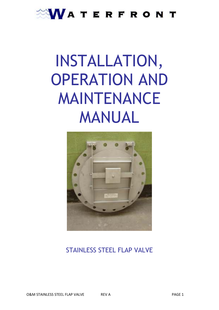# WATERFRONT

# INSTALLATION, OPERATION AND MAINTENANCE MANUAL



# STAINLESS STEEL FLAP VALVE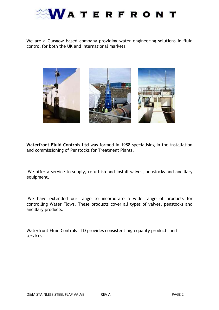

We are a Glasgow based company providing water engineering solutions in fluid control for both the UK and International markets.



**Waterfront Fluid Controls Ltd** was formed in 1988 specialising in the installation and commissioning of Penstocks for Treatment Plants.

 We offer a service to supply, refurbish and install valves, penstocks and ancillary equipment.

 We have extended our range to incorporate a wide range of products for controlling Water Flows. These products cover all types of valves, penstocks and ancillary products.

Waterfront Fluid Controls LTD provides consistent high quality products and services.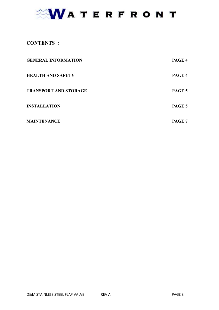# WATERFRONT

# **CONTENTS** :

| <b>GENERAL INFORMATION</b>   | PAGE 4 |
|------------------------------|--------|
| <b>HEALTH AND SAFETY</b>     | PAGE 4 |
| <b>TRANSPORT AND STORAGE</b> | PAGE 5 |
| <b>INSTALLATION</b>          | PAGE 5 |
| <b>MAINTENANCE</b>           | PAGE 7 |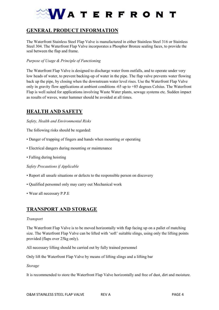

# **GENERAL PRODUCT INFORMATION**

The Waterfront Stainless Steel Flap Valve is manufactured in either Stainless Steel 316 or Stainless Steel 304. The Waterfront Flap Valve incorporates a Phosphor Bronze sealing faces, to provide the seal between the flap and frame.

#### *Purpose of Usage & Principle of Functioning*

The Waterfront Flap Valve is designed to discharge water from outfalls, and to operate under very low heads of water, to prevent backing-up of water in the pipe. The flap valve prevents water flowing back up the pipe, by closing when the downstream water level rises. Use the Waterfront Flap Valve only in gravity flow applications at ambient conditions -65 up to +85 degrees Celsius. The Waterfront Flap is well suited for applications involving Waste Water plants, sewage systems etc. Sudden impact as results of waves, water hammer should be avoided at all times.

### **HEALTH AND SAFETY**

#### *Safety, Health and Environmental Risks*

The following risks should be regarded:

- Danger of trapping of fingers and hands when mounting or operating
- Electrical dangers during mounting or maintenance
- Falling during hoisting

*Safety Precautions if Applicable* 

- Report all unsafe situations or defects to the responsible person on discovery
- Qualified personnel only may carry out Mechanical work
- Wear all necessary P.P.E

### **TRANSPORT AND STORAGE**

#### *Transport*

The Waterfront Flap Valve is to be moved horizontally with flap facing up on a pallet of matching size. The Waterfront Flap Valve can be lifted with 'soft' suitable slings, using only the lifting points provided (flaps over 25kg only).

All necessary lifting should be carried out by fully trained personnel

Only lift the Waterfront Flap Valve by means of lifting slings and a lifting bar

*Storage* 

It is recommended to store the Waterfront Flap Valve horizontally and free of dust, dirt and moisture.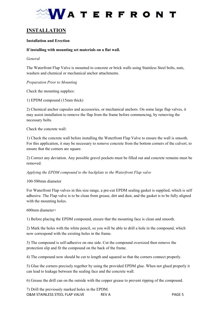

# **INSTALLATION**

#### **Installation and Erection**

#### **If installing with mounting set materials on a flat wall.**

#### *General*

The Waterfront Flap Valve is mounted to concrete or brick walls using Stainless Steel bolts, nuts, washers and chemical or mechanical anchor attachments.

#### *Preparation Prior to Mounting*

Check the mounting supplies:

1) EPDM compound (15mm thick)

2) Chemical anchor capsules and accessories, or mechanical anchors. On some large flap valves, it may assist installation to remove the flap from the frame before commencing, by removing the necessary bolts.

Check the concrete wall:

1) Check the concrete wall before installing the Waterfront Flap Valve to ensure the wall is smooth. For this application, it may be necessary to remove concrete from the bottom corners of the culvert, to ensure that the corners are square.

2) Correct any deviation. Any possible gravel pockets must be filled out and concrete remains must be removed.

*Applying the EPDM compound to the backplate to the Waterfront Flap valve* 

#### 100-500mm diameter

For Waterfront Flap valves in this size range, a pre-cut EPDM sealing gasket is supplied, which is self adhesive. The Flap valve is to be clean from grease, dirt and dust, and the gasket is to be fully aligned with the mounting holes.

600mm diameter+

1) Before placing the EPDM compound, ensure that the mounting face is clean and smooth.

2) Mark the holes with the white pencil, so you will be able to drill a hole in the compound, which now correspond with the existing holes in the frame.

3) The compound is self-adhesive on one side. Cut the compound oversized then remove the protection slip and fit the compound on the back of the frame.

4) The compound now should be cut to length and squared so that the corners connect properly.

5) Glue the corners precisely together by using the provided EPDM glue. When not glued properly it can lead to leakage between the sealing face and the concrete wall.

6) Grease the drill can on the outside with the copper grease to prevent ripping of the compound.

O&M STAINLESS STEEL FLAP VALVE REV A PAGE 5 7) Drill the previously marked holes in the EPDM.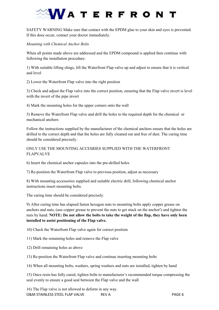# **ATERFRONT**

SAFETY WARNING Make sure that contact with the EPDM glue to your skin and eyes is prevented. If this does occur, contact your doctor immediately.

*Mounting with Chemical Anchor Bolts* 

When all points made above are addressed and the EPDM compound is applied then continue with following the installation procedure:

1) With suitable lifting slings, lift the Waterfront Flap valve up and adjust to ensure that it is vertical and level

2) Lower the Waterfront Flap valve into the right position

3) Check and adjust the Flap valve into the correct position, ensuring that the Flap valve invert is level with the invert of the pipe invert

4) Mark the mounting holes for the upper corners onto the wall

5) Remove the Waterfront Flap valve and drill the holes to the required depth for the chemical or mechanical anchors

Follow the instructions supplied by the manufacturer of the chemical anchors ensure that the holes are drilled to the correct depth and that the holes are fully cleaned out and free of dust. The curing time should be considered precisely.

ONLY USE THE MOUNTING ACCESRIES SUPPLIED WITH THE WATERFRONT FLAPVALVE

6) Insert the chemical anchor capsules into the pre-drilled holes

7) Re-position the Waterfront Flap valve to previous position, adjust as necessary

8) With mounting accessories supplied and suitable electric drill, following chemical anchor instructions insert mounting bolts.

The curing time should be considered precisely.

9) After curing time has elapsed fasten hexagon nuts to mounting bolts apply copper grease on anchors and nuts, (use copper grease to prevent the nuts to get stuck on the anchor!) and tighten the nuts by hand. **OTE: Do not allow the bolts to take the weight of the flap, they have only been installed to assist positioning of the Flap valve.** 

10) Check the Waterfront Flap valve again for correct position

11) Mark the remaining holes and remove the Flap valve

12) Drill remaining holes as above

13) Re-position the Waterfront Flap valve and continue inserting mounting bolts

14) When all mounting bolts, washers, spring washers and nuts are installed, tighten by hand

15) Once resin has fully cured, tighten bolts to manufacturer's recommended torque compressing the seal evenly to ensure a good seal between the Flap valve and the wall

O&M STAINLESS STEEL FLAP VALVE REV A PAGE 6 16) The Flap valve is not allowed to deform in any way.